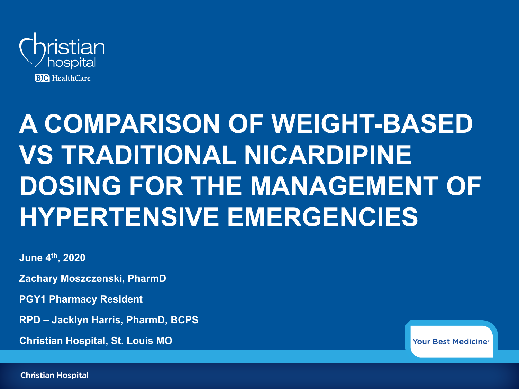

# **A COMPARISON OF WEIGHT-BASED VS TRADITIONAL NICARDIPINE DOSING FOR THE MANAGEMENT OF HYPERTENSIVE EMERGENCIES**

**June 4th, 2020**

**Zachary Moszczenski, PharmD**

**PGY1 Pharmacy Resident**

**RPD – Jacklyn Harris, PharmD, BCPS**

**Christian Hospital, St. Louis MO**

Your Best Medicine<sup>®</sup>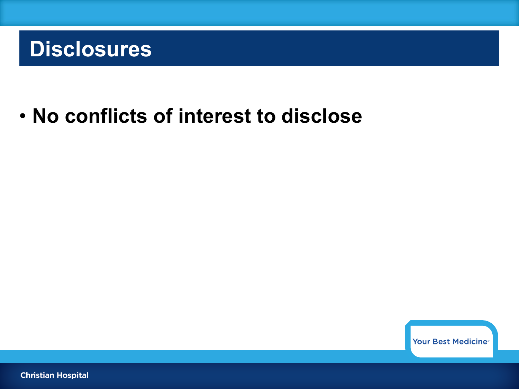### **Disclosures**

#### • **No conflicts of interest to disclose**

Your Best Medicine<sup>®</sup>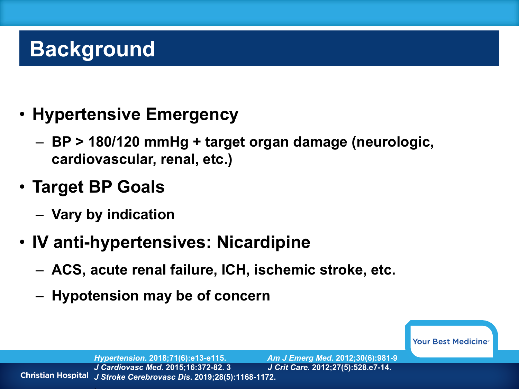## **Background**

- **Hypertensive Emergency**
	- **BP > 180/120 mmHg + target organ damage (neurologic, cardiovascular, renal, etc.)**
- **Target BP Goals**
	- **Vary by indication**
- **IV anti-hypertensives: Nicardipine**
	- **ACS, acute renal failure, ICH, ischemic stroke, etc.**
	- **Hypotension may be of concern**

Your Best Medicine<sup>®</sup>

*Hypertension***. 2018;71(6):e13-e115.** *Am J Emerg Med***. 2012;30(6):981-9** *J Cardiovasc Med***. 2015;16:372-82. 3** *J Crit Care***. 2012;27(5):528.e7-14.** *J Stroke Cerebrovasc Dis***. 2019;28(5):1168-1172.**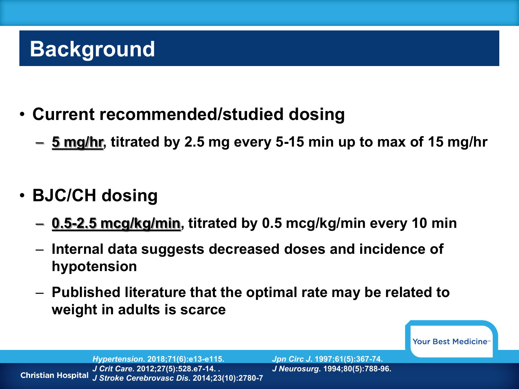## **Background**

- **Current recommended/studied dosing**
	- **5 mg/hr, titrated by 2.5 mg every 5-15 min up to max of 15 mg/hr**
- **BJC/CH dosing** 
	- **0.5-2.5 mcg/kg/min, titrated by 0.5 mcg/kg/min every 10 min**
	- **Internal data suggests decreased doses and incidence of hypotension**
	- **Published literature that the optimal rate may be related to weight in adults is scarce**

Your Best Medicine<sup>®</sup>

*Hypertension***. 2018;71(6):e13-e115.** *Jpn Circ J***. 1997;61(5):367-74.** *J Crit Care***. 2012;27(5):528.e7-14. .** *J Neurosurg***. 1994;80(5):788-96. Christian Hospital** *J Stroke Cerebrovasc Dis***. 2014;23(10):2780-7**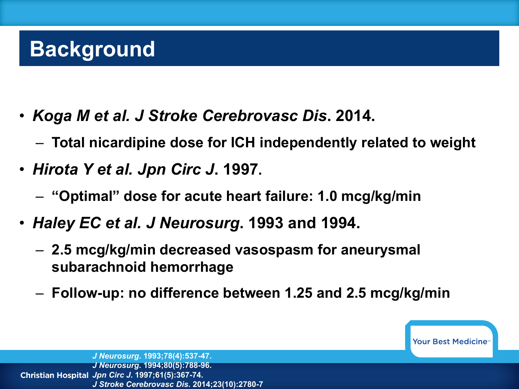## **Background**

- *Koga M et al. J Stroke Cerebrovasc Dis***. 2014.**
	- **Total nicardipine dose for ICH independently related to weight**
- *Hirota Y et al. Jpn Circ J***. 1997.**
	- **"Optimal" dose for acute heart failure: 1.0 mcg/kg/min**
- *Haley EC et al. J Neurosurg***. 1993 and 1994.**
	- **2.5 mcg/kg/min decreased vasospasm for aneurysmal subarachnoid hemorrhage**
	- **Follow-up: no difference between 1.25 and 2.5 mcg/kg/min**

Your Best Medicine<sup>®</sup>

*J Neurosurg***. 1993;78(4):537-47.**  *J Neurosurg***. 1994;80(5):788-96.** *Jpn Circ J***. 1997;61(5):367-74.** *J Stroke Cerebrovasc Dis***. 2014;23(10):2780-7**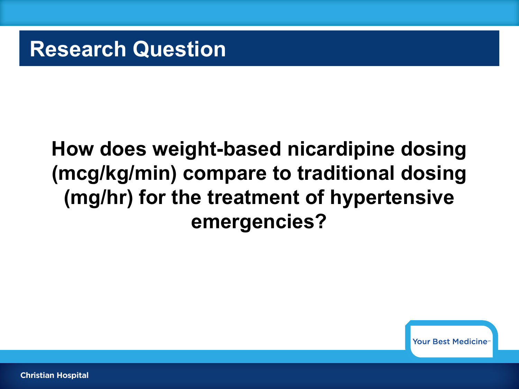**Research Question**

### **How does weight-based nicardipine dosing (mcg/kg/min) compare to traditional dosing (mg/hr) for the treatment of hypertensive emergencies?**

Your Best Medicine<sup>®</sup>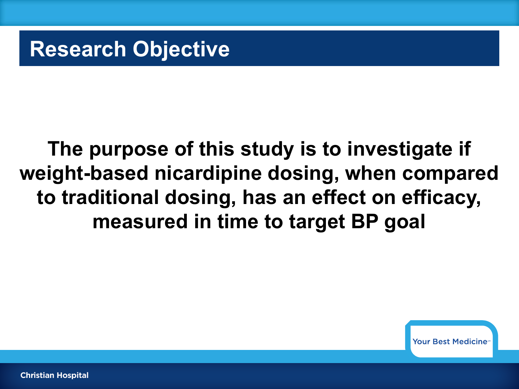**Research Objective**

### **The purpose of this study is to investigate if weight-based nicardipine dosing, when compared to traditional dosing, has an effect on efficacy, measured in time to target BP goal**

**Your Best Medicine**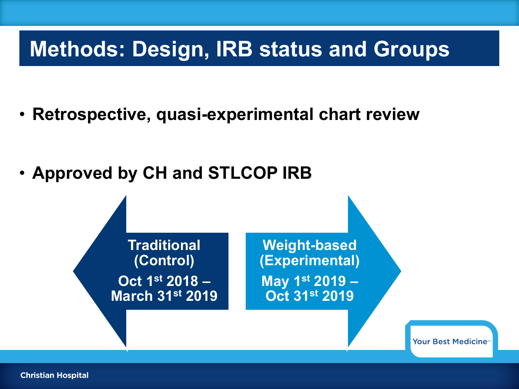### **Methods: Design, IRB status and Groups**

• **Retrospective, quasi-experimental chart review**

• **Approved by CH and STLCOP IRB**

**Traditional (Control) Oct 1st 2018 – March 31st 2019**

**Weight-based (Experimental) May 1st 2019 – Oct 31st 2019**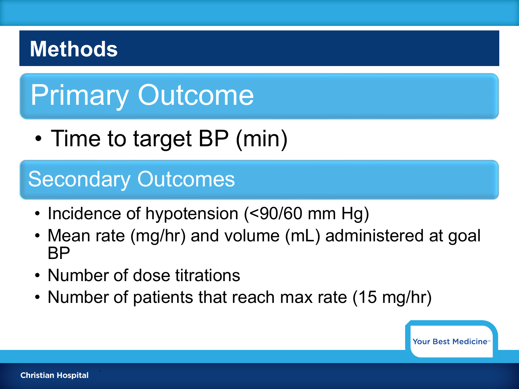### **Methods**

# Primary Outcome

• Time to target BP (min)

### Secondary Outcomes

- Incidence of hypotension (<90/60 mm Hg)
- Mean rate (mg/hr) and volume (mL) administered at goal BP
- Number of dose titrations
- Number of patients that reach max rate (15 mg/hr)

**Your Best Medicine** 

.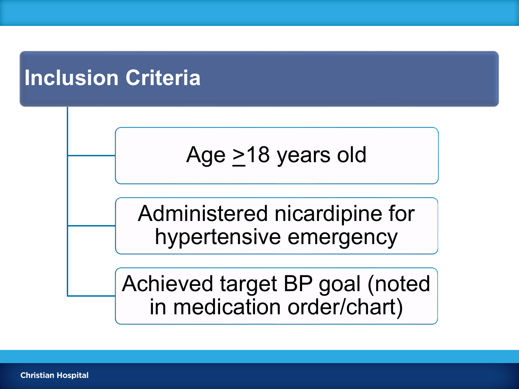### **Inclusion Criteria**



Administered nicardipine for hypertensive emergency

Achieved target BP goal (noted in medication order/chart)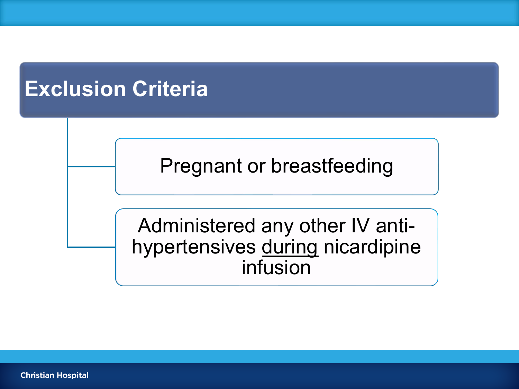### **Exclusion Criteria**

Pregnant or breastfeeding

Administered any other IV antihypertensives during nicardipine infusion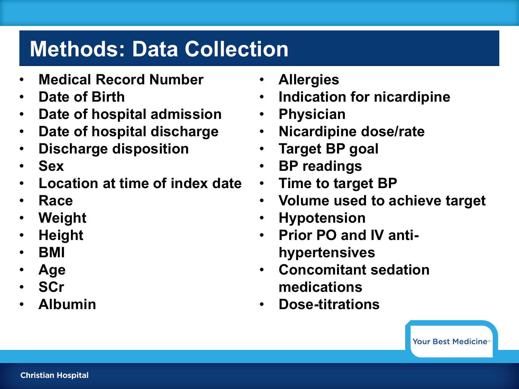### **Methods: Data Collection**

- **Medical Record Number**
- **Date of Birth**
- **Date of hospital admission**
- **Date of hospital discharge**
- **Discharge disposition**
- **Sex**
- **Location at time of index date**
- **Race**
- **Weight**
- **Height**
- **BMI**
- **Age**
- **SCr**
- **Albumin**
- **Allergies**
- **Indication for nicardipine**
- **Physician**
- **Nicardipine dose/rate**
- **Target BP goal**
- **BP readings**
- **Time to target BP**
- **Volume used to achieve target**
- **Hypotension**
- **Prior PO and IV antihypertensives**
- **Concomitant sedation medications**
- **Dose-titrations**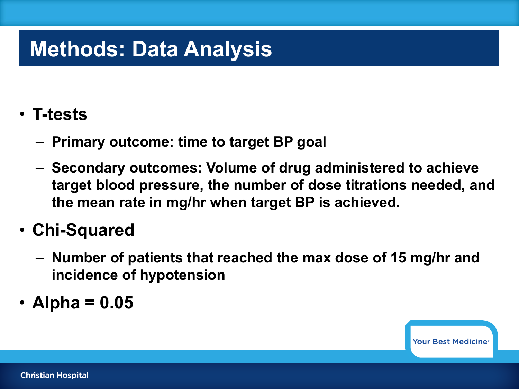### **Methods: Data Analysis**

#### • **T-tests**

- **Primary outcome: time to target BP goal**
- **Secondary outcomes: Volume of drug administered to achieve target blood pressure, the number of dose titrations needed, and the mean rate in mg/hr when target BP is achieved.**

#### • **Chi-Squared**

- **Number of patients that reached the max dose of 15 mg/hr and incidence of hypotension**
- **Alpha = 0.05**

**Your Best Medicine**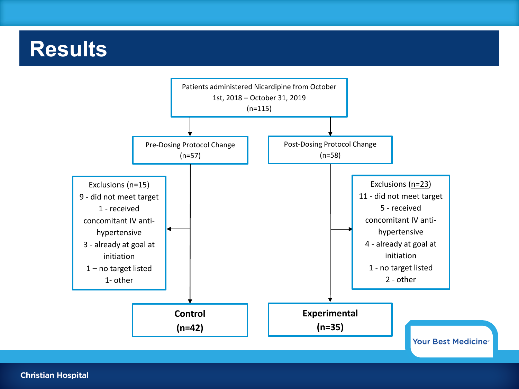#### **Results**

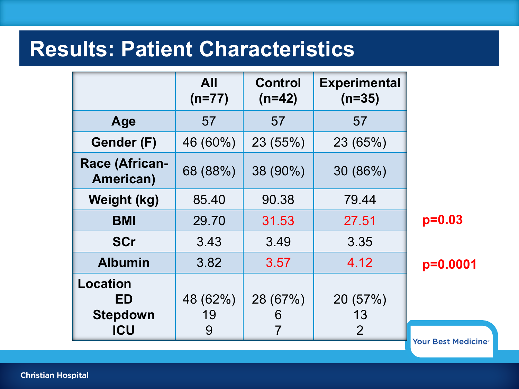|                                    | <b>All</b><br>$(n=77)$ | <b>Control</b><br>$(n=42)$ | <b>Experimental</b><br>$(n=35)$ |                  |
|------------------------------------|------------------------|----------------------------|---------------------------------|------------------|
| Age                                | 57                     | 57                         | 57                              |                  |
| Gender (F)                         | 46 (60%)               | 23 (55%)                   | 23 (65%)                        |                  |
| <b>Race (African-</b><br>American) | 68 (88%)               | 38 (90%)                   | 30 (86%)                        |                  |
| Weight (kg)                        | 85.40                  | 90.38                      | 79.44                           |                  |
| <b>BMI</b>                         | 29.70                  | 31.53                      | 27.51                           | $p=0.03$         |
| <b>SCr</b>                         | 3.43                   | 3.49                       | 3.35                            |                  |
| <b>Albumin</b>                     | 3.82                   | 3.57                       | 4.12                            | $p=0.0001$       |
| Location<br>ED<br><b>Stepdown</b>  | 48 (62%)<br>19         | 28 (67%)<br>6              | 20 (57%)<br>13                  |                  |
| <b>ICU</b>                         | 9                      |                            | 2                               | Vour Rost Modici |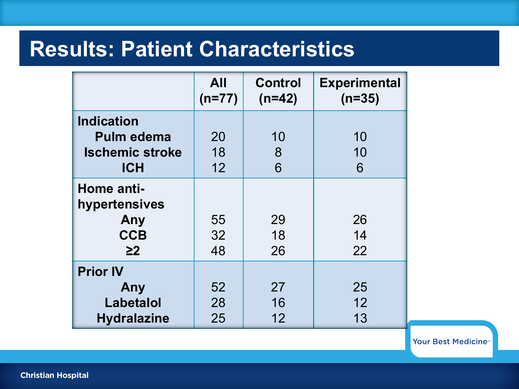|                                                                         | <b>All</b><br>$(n=77)$ | <b>Control</b><br>$(n=42)$ | <b>Experimental</b><br>$(n=35)$ |
|-------------------------------------------------------------------------|------------------------|----------------------------|---------------------------------|
| <b>Indication</b><br>Pulm edema<br><b>Ischemic stroke</b><br><b>ICH</b> | 20<br>18<br>12         | 10<br>8<br>6               | 10<br>10<br>6                   |
| Home anti-<br>hypertensives<br>Any<br><b>CCB</b><br>$\geq$ 2            | 55<br>32<br>48         | 29<br>18<br>26             | 26<br>14<br>22                  |
| <b>Prior IV</b><br>Any<br>Labetalol<br><b>Hydralazine</b>               | 52<br>28<br>25         | 27<br>16<br>12             | 25<br>12<br>13                  |

Your Best Medicine®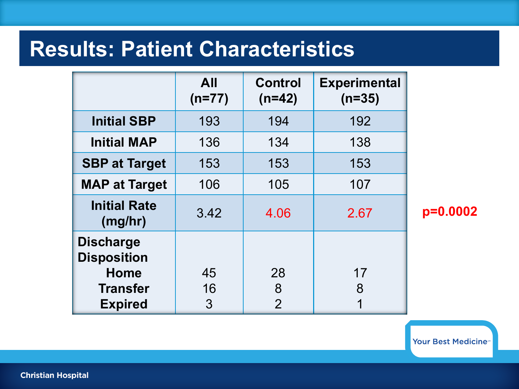|                                                                          | <b>All</b><br>$(n=77)$ | <b>Control</b><br>$(n=42)$ | <b>Experimental</b><br>$(n=35)$ |  |
|--------------------------------------------------------------------------|------------------------|----------------------------|---------------------------------|--|
| <b>Initial SBP</b>                                                       | 193                    | 194                        | 192                             |  |
| <b>Initial MAP</b>                                                       | 136                    | 134                        | 138                             |  |
| <b>SBP at Target</b>                                                     | 153                    | 153                        | 153                             |  |
| <b>MAP at Target</b>                                                     | 106                    | 105                        | 107                             |  |
| <b>Initial Rate</b><br>(mg/hr)                                           | 3.42                   | 4.06                       | 2.67                            |  |
| <b>Discharge</b><br><b>Disposition</b><br><b>Home</b><br><b>Transfer</b> | 45<br>16               | 28<br>8                    | 17<br>8                         |  |
| <b>Expired</b>                                                           | 3                      | $\overline{2}$             |                                 |  |

**p=0.0002**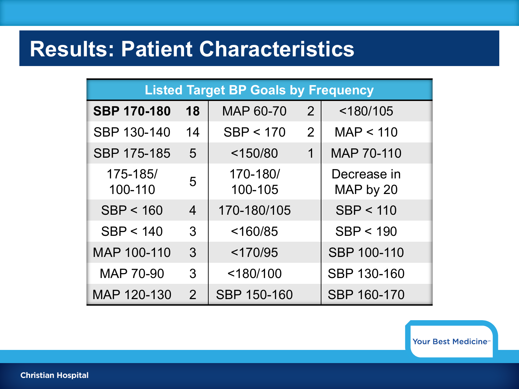| <b>Listed Target BP Goals by Frequency</b> |                |                     |                |                          |
|--------------------------------------------|----------------|---------------------|----------------|--------------------------|
| <b>SBP 170-180</b>                         | 18             | MAP 60-70           | $\overline{2}$ | $<$ 180/105              |
| SBP 130-140                                | 14             | SBP < 170           | 2              | MAP < 110                |
| SBP 175-185                                | 5              | $<$ 150/80          | 1              | MAP 70-110               |
| 175-185/<br>100-110                        | 5              | 170-180/<br>100-105 |                | Decrease in<br>MAP by 20 |
| SBP < 160                                  | $\overline{4}$ | 170-180/105         |                | SBP < 110                |
| SBP < 140                                  | 3              | < 160/85            |                | SBP < 190                |
| MAP 100-110                                | 3              | < 170/95            |                | <b>SBP 100-110</b>       |
| <b>MAP 70-90</b>                           | 3              | $<$ 180/100         |                | SBP 130-160              |
| MAP 120-130                                | 2              | SBP 150-160         |                | SBP 160-170              |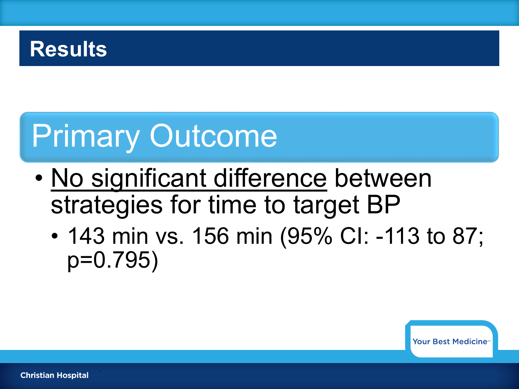#### **Results**

# Primary Outcome

- No significant difference between strategies for time to target BP
	- 143 min vs. 156 min (95% CI: -113 to 87; p=0.795)

**Your Best Medicines** 

.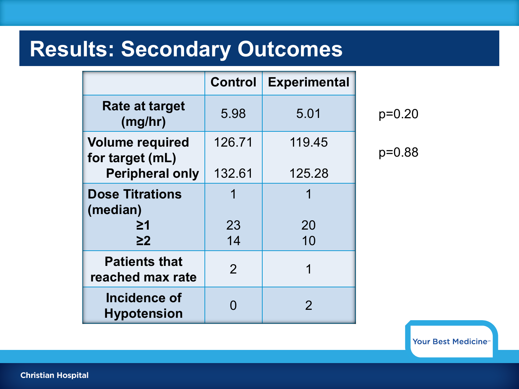#### **Results: Secondary Outcomes**

|                                           | <b>Control</b> | <b>Experimental</b> |
|-------------------------------------------|----------------|---------------------|
| <b>Rate at target</b><br>(mg/hr)          | 5.98           | 5.01                |
| <b>Volume required</b><br>for target (mL) | 126.71         | 119.45              |
| <b>Peripheral only</b>                    | 132.61         | 125.28              |
| <b>Dose Titrations</b><br>(median)        |                | 1                   |
| 21                                        | 23             | 20                  |
| $\geq$ 2                                  | 14             | 10                  |
| <b>Patients that</b><br>reached max rate  | $\mathcal{P}$  | 1                   |
| Incidence of<br><b>Hypotension</b>        |                | 2                   |

p=0.20

p=0.88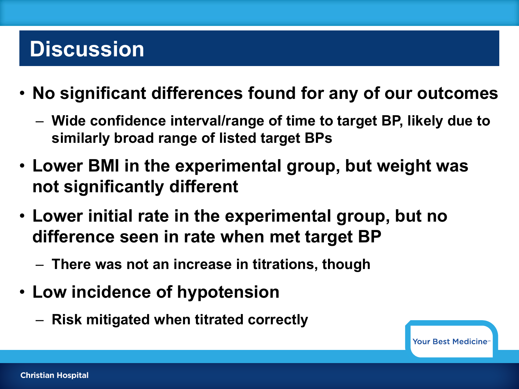### **Discussion**

- **No significant differences found for any of our outcomes**
	- **Wide confidence interval/range of time to target BP, likely due to similarly broad range of listed target BPs**
- **Lower BMI in the experimental group, but weight was not significantly different**
- **Lower initial rate in the experimental group, but no difference seen in rate when met target BP**
	- **There was not an increase in titrations, though**
- **Low incidence of hypotension**
	- **Risk mitigated when titrated correctly**

**Your Best Medicine**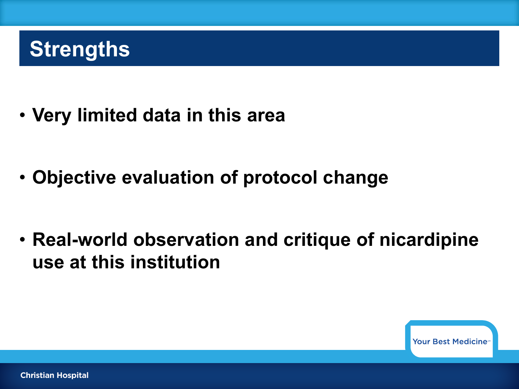## **Strengths**

• **Very limited data in this area**

• **Objective evaluation of protocol change** 

• **Real-world observation and critique of nicardipine use at this institution** 

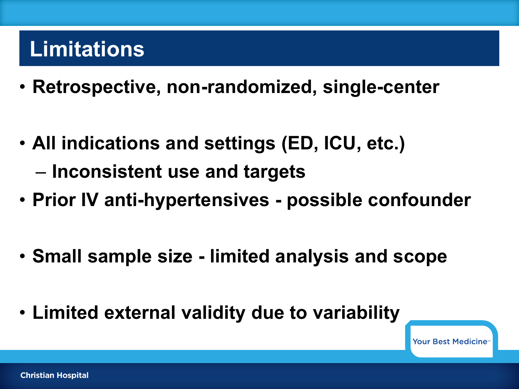## **Limitations**

- **Retrospective, non-randomized, single-center**
- **All indications and settings (ED, ICU, etc.)** – **Inconsistent use and targets**
- **Prior IV anti-hypertensives - possible confounder**
- **Small sample size - limited analysis and scope**
- **Limited external validity due to variability**

Your Best Medicine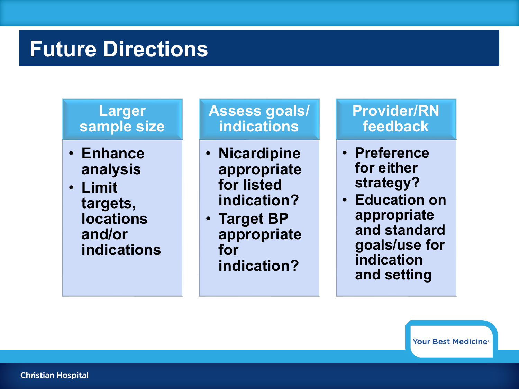#### **Future Directions**

#### **Larger sample size**

- **Enhance analysis**
- **Limit targets, locations and/or indications**

#### **Assess goals/ indications**

- **Nicardipine appropriate for listed indication?**
- **Target BP appropriate for indication?**

#### **Provider/RN feedback**

- **Preference for either strategy?**
- **Education on appropriate and standard goals/use for indication and setting**